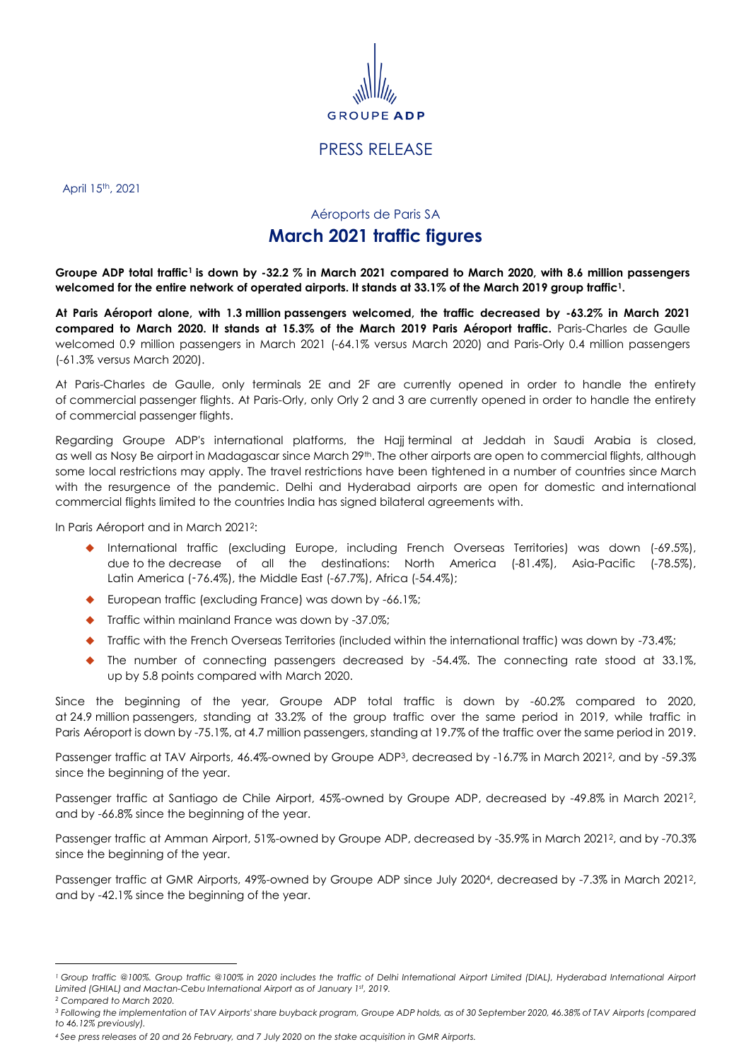

## PRESS RELEASE

April 15th, 2021

## Aéroports de Paris SA

## <span id="page-0-0"></span>**March 2021 traffic figures**

**Groupe ADP total traffic<sup>1</sup> is down by -32.2 % in March 2021 compared to March 2020, with 8.6 million passengers welcomed for the entire network of operated airports. It stands at 33.1% of the March 2019 group traffic[1](#page-0-0) .**

**At Paris Aéroport alone, with 1.3 million passengers welcomed, the traffic decreased by -63.2% in March 2021 compared to March 2020. It stands at 15.3% of the March 2019 Paris Aéroport traffic.** Paris-Charles de Gaulle welcomed 0.9 million passengers in March 2021 (-64.1% versus March 2020) and Paris-Orly 0.4 million passengers (-61.3% versus March 2020).

At Paris-Charles de Gaulle, only terminals 2E and 2F are currently opened in order to handle the entirety of commercial passenger flights. At Paris-Orly, only Orly 2 and 3 are currently opened in order to handle the entirety of commercial passenger flights.

Regarding Groupe ADP's international platforms, the Hajj terminal at Jeddah in Saudi Arabia is closed, as well as Nosy Be airport in Madagascar since March 29<sup>th</sup>. The other airports are open to commercial flights, although some local restrictions may apply. The travel restrictions have been tightened in a number of countries since March with the resurgence of the pandemic. Delhi and Hyderabad airports are open for domestic and international commercial flights limited to the countries India has signed bilateral agreements with.

In Paris Aéroport and in March 2021 2 :

- International traffic (excluding Europe, including French Overseas Territories) was down (-69.5%), due to the decrease of all the destinations: North America (-81.4%), Asia-Pacific (-78.5%), Latin America (-76.4%), the Middle East (-67.7%), Africa (-54.4%);
- ◆ European traffic (excluding France) was down by -66.1%;
- Traffic within mainland France was down by -37.0%;
- Traffic with the French Overseas Territories (included within the international traffic) was down by -73.4%;
- The number of connecting passengers decreased by -54.4%. The connecting rate stood at 33.1%, up by 5.8 points compared with March 2020.

Since the beginning of the year, Groupe ADP total traffic is down by -60.2% compared to 2020, at 24.9 million passengers, standing at 33.2% of the group traffic over the same period in 2019, while traffic in Paris Aéroport is down by -75.1%, at 4.7 million passengers, standing at 19.7% of the traffic over the same period in 2019.

Passenger traffic at TAV Airports, 46.4%-owned by Groupe ADP<sup>3</sup>, decreased by -16.7% in March 2021<sup>2</sup>, and by -59.3% since the beginning of the year.

Passenger traffic at Santiago de Chile Airport, 45%-owned by Groupe ADP, decreased by -49.8% in March 2021<sup>2</sup> , and by -66.8% since the beginning of the year.

Passenger traffic at Amman Airport, 51%-owned by Groupe ADP, decreased by -35.9% in March 2021<sup>2</sup> , and by -70.3% since the beginning of the year.

Passenger traffic at GMR Airports, 49%-owned by Groupe ADP since July 2020<sup>4</sup> , decreased by -7.3% in March 2021<sup>2</sup> , and by -42.1% since the beginning of the year.

 $\overline{a}$ 

<sup>&</sup>lt;sup>1</sup> Group traffic @100%. Group traffic @100% in 2020 includes the traffic of Delhi International Airport Limited (DIAL), Hyderabad International Airport *Limited (GHIAL) and Mactan-Cebu International Airport as of January 1st, 2019.*

*<sup>2</sup> Compared to March 2020.*

*<sup>3</sup> Following the implementation of TAV Airports' share buyback program, Groupe ADP holds, as of 30 September 2020, 46.38% of TAV Airports (compared to 46.12% previously).*

*<sup>4</sup> See press releases of 20 and 26 February, and 7 July 2020 on the stake acquisition in GMR Airports.*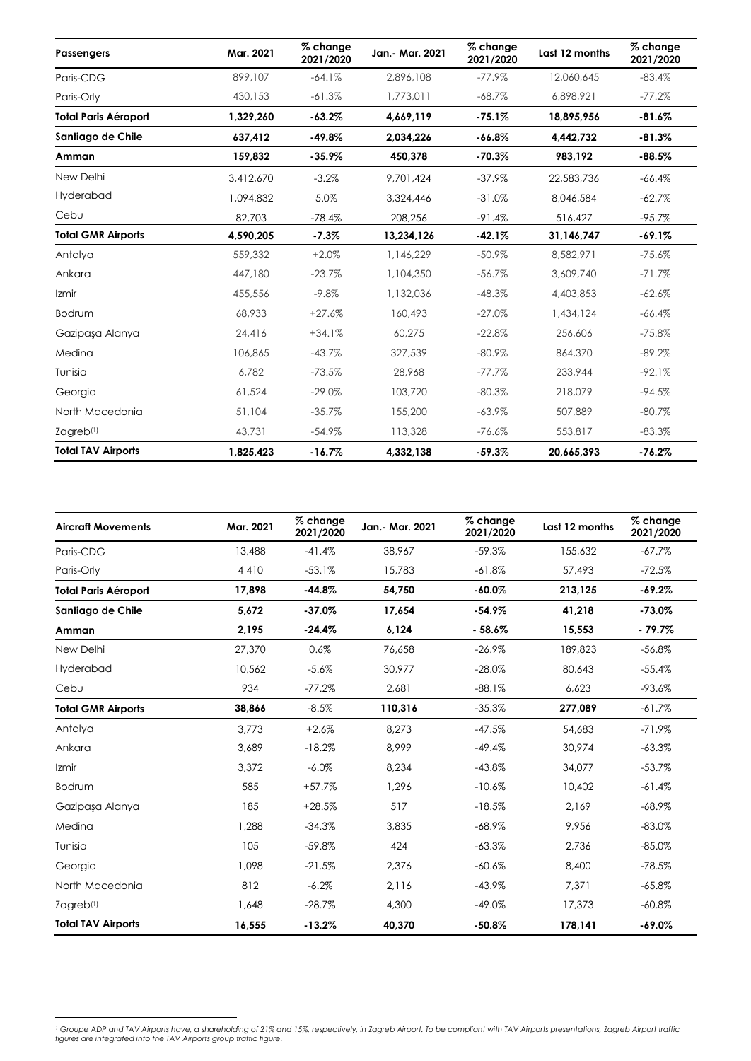| <b>Passengers</b>           | Mar. 2021 | % change<br>2021/2020 | Jan.- Mar. 2021 | % change<br>2021/2020 | Last 12 months | % change<br>2021/2020 |
|-----------------------------|-----------|-----------------------|-----------------|-----------------------|----------------|-----------------------|
| Paris-CDG                   | 899,107   | $-64.1%$              | 2.896.108       | $-77.9\%$             | 12.060.645     | $-83.4%$              |
| Paris-Orly                  | 430.153   | $-61.3%$              | 1,773,011       | $-68.7\%$             | 6,898,921      | $-77.2%$              |
| <b>Total Paris Aéroport</b> | 1,329,260 | $-63.2%$              | 4,669,119       | $-75.1%$              | 18,895,956     | $-81.6%$              |
| Santiago de Chile           | 637,412   | $-49.8%$              | 2,034,226       | $-66.8%$              | 4,442,732      | $-81.3%$              |
| Amman                       | 159,832   | $-35.9%$              | 450,378         | $-70.3%$              | 983,192        | $-88.5%$              |
| New Delhi                   | 3,412,670 | $-3.2%$               | 9,701,424       | $-37.9%$              | 22,583,736     | $-66.4%$              |
| Hyderabad                   | 1.094.832 | 5.0%                  | 3,324,446       | $-31.0%$              | 8,046,584      | $-62.7%$              |
| Cebu                        | 82,703    | $-78.4%$              | 208,256         | $-91.4%$              | 516,427        | $-95.7%$              |
| <b>Total GMR Airports</b>   | 4,590,205 | $-7.3%$               | 13,234,126      | $-42.1%$              | 31,146,747     | $-69.1%$              |
| Antalya                     | 559,332   | $+2.0%$               | 1,146,229       | $-50.9%$              | 8,582,971      | $-75.6%$              |
| Ankara                      | 447,180   | $-23.7%$              | 1,104,350       | $-56.7%$              | 3,609,740      | $-71.7%$              |
| Izmir                       | 455,556   | $-9.8%$               | 1,132,036       | $-48.3%$              | 4,403,853      | $-62.6%$              |
| Bodrum                      | 68,933    | $+27.6%$              | 160,493         | $-27.0%$              | 1,434,124      | $-66.4%$              |
| Gazipaşa Alanya             | 24,416    | $+34.1%$              | 60,275          | $-22.8%$              | 256,606        | $-75.8%$              |
| Medina                      | 106,865   | $-43.7%$              | 327.539         | $-80.9%$              | 864,370        | $-89.2%$              |
| Tunisia                     | 6.782     | $-73.5%$              | 28,968          | $-77.7%$              | 233.944        | $-92.1%$              |
| Georgia                     | 61,524    | $-29.0\%$             | 103,720         | $-80.3%$              | 218,079        | $-94.5%$              |
| North Macedonia             | 51,104    | $-35.7%$              | 155,200         | $-63.9\%$             | 507,889        | $-80.7%$              |
| Zagreb <sup>(1)</sup>       | 43,731    | $-54.9\%$             | 113,328         | $-76.6%$              | 553,817        | $-83.3%$              |
| <b>Total TAV Airports</b>   | 1,825,423 | $-16.7%$              | 4,332,138       | $-59.3%$              | 20.665.393     | $-76.2%$              |

| <b>Aircraft Movements</b>   | Mar. 2021 | % change<br>2021/2020 | Jan.- Mar. 2021 | % change<br>2021/2020 | Last 12 months | % change<br>2021/2020 |
|-----------------------------|-----------|-----------------------|-----------------|-----------------------|----------------|-----------------------|
| Paris-CDG                   | 13,488    | $-41.4%$              | 38,967          | $-59.3%$              | 155,632        | $-67.7%$              |
| Paris-Orly                  | 4410      | $-53.1%$              | 15.783          | $-61.8%$              | 57,493         | $-72.5%$              |
| <b>Total Paris Aéroport</b> | 17,898    | $-44.8%$              | 54,750          | $-60.0%$              | 213,125        | $-69.2%$              |
| Santiago de Chile           | 5,672     | $-37.0%$              | 17,654          | $-54.9%$              | 41,218         | $-73.0%$              |
| Amman                       | 2,195     | $-24.4%$              | 6,124           | $-58.6%$              | 15,553         | $-79.7%$              |
| New Delhi                   | 27,370    | 0.6%                  | 76.658          | $-26.9%$              | 189,823        | $-56.8%$              |
| Hyderabad                   | 10,562    | $-5.6%$               | 30,977          | $-28.0%$              | 80,643         | $-55.4%$              |
| Cebu                        | 934       | $-77.2%$              | 2,681           | $-88.1%$              | 6,623          | $-93.6%$              |
| <b>Total GMR Airports</b>   | 38,866    | $-8.5%$               | 110,316         | $-35.3%$              | 277,089        | $-61.7%$              |
| Antalya                     | 3.773     | $+2.6%$               | 8.273           | $-47.5%$              | 54,683         | $-71.9\%$             |
| Ankara                      | 3,689     | $-18.2%$              | 8,999           | $-49.4%$              | 30,974         | $-63.3%$              |
| Izmir                       | 3,372     | $-6.0\%$              | 8,234           | $-43.8%$              | 34,077         | $-53.7%$              |
| Bodrum                      | 585       | $+57.7%$              | 1.296           | $-10.6%$              | 10,402         | $-61.4%$              |
| Gazipaşa Alanya             | 185       | $+28.5%$              | 517             | $-18.5%$              | 2,169          | $-68.9\%$             |
| Medina                      | 1,288     | $-34.3%$              | 3,835           | $-68.9%$              | 9,956          | $-83.0%$              |
| Tunisia                     | 105       | $-59.8%$              | 424             | $-63.3%$              | 2.736          | $-85.0%$              |
| Georgia                     | 1,098     | $-21.5%$              | 2,376           | $-60.6%$              | 8,400          | $-78.5%$              |
| North Macedonia             | 812       | $-6.2%$               | 2,116           | $-43.9%$              | 7,371          | $-65.8%$              |
| Zagreb <sup>(1)</sup>       | 1,648     | $-28.7%$              | 4,300           | $-49.0%$              | 17,373         | $-60.8\%$             |
| <b>Total TAV Airports</b>   | 16,555    | $-13.2%$              | 40,370          | $-50.8%$              | 178,141        | $-69.0%$              |

<sup>&</sup>lt;sup>1</sup> Groupe ADP and TAV Airports have, a shareholding of 21% and 15%, respectively, in Zagreb Airport. To be compliant with TAV Airports presentations, Zagreb Airport traffic<br>figures are integrated into the TAV Airports gro